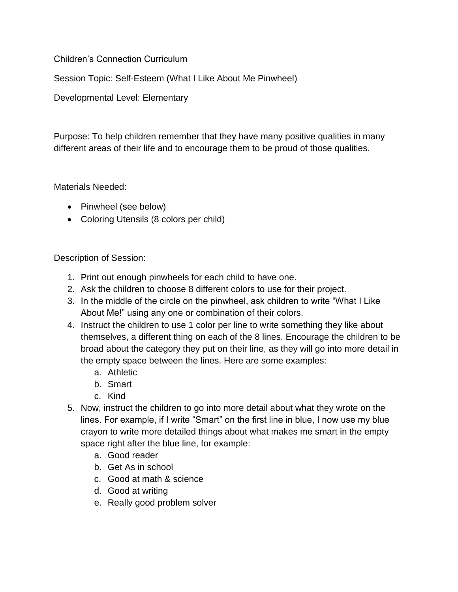Children's Connection Curriculum

Session Topic: Self-Esteem (What I Like About Me Pinwheel)

Developmental Level: Elementary

Purpose: To help children remember that they have many positive qualities in many different areas of their life and to encourage them to be proud of those qualities.

Materials Needed:

- Pinwheel (see below)
- Coloring Utensils (8 colors per child)

Description of Session:

- 1. Print out enough pinwheels for each child to have one.
- 2. Ask the children to choose 8 different colors to use for their project.
- 3. In the middle of the circle on the pinwheel, ask children to write "What I Like About Me!" using any one or combination of their colors.
- 4. Instruct the children to use 1 color per line to write something they like about themselves, a different thing on each of the 8 lines. Encourage the children to be broad about the category they put on their line, as they will go into more detail in the empty space between the lines. Here are some examples:
	- a. Athletic
	- b. Smart
	- c. Kind
- 5. Now, instruct the children to go into more detail about what they wrote on the lines. For example, if I write "Smart" on the first line in blue, I now use my blue crayon to write more detailed things about what makes me smart in the empty space right after the blue line, for example:
	- a. Good reader
	- b. Get As in school
	- c. Good at math & science
	- d. Good at writing
	- e. Really good problem solver